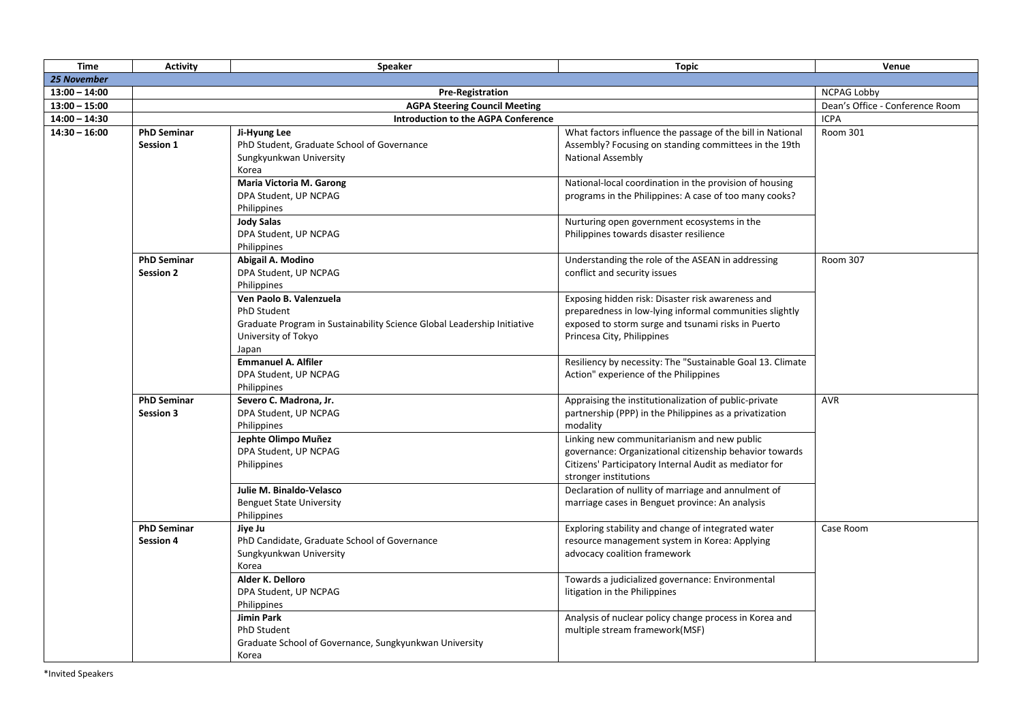| <b>Time</b>     | <b>Activity</b>                        | <b>Speaker</b>                                                                                                                                    | <b>Topic</b>                                                                                                                                                                                                | Venue                           |
|-----------------|----------------------------------------|---------------------------------------------------------------------------------------------------------------------------------------------------|-------------------------------------------------------------------------------------------------------------------------------------------------------------------------------------------------------------|---------------------------------|
| 25 November     |                                        |                                                                                                                                                   |                                                                                                                                                                                                             |                                 |
| $13:00 - 14:00$ | <b>Pre-Registration</b>                |                                                                                                                                                   |                                                                                                                                                                                                             | <b>NCPAG Lobby</b>              |
| $13:00 - 15:00$ |                                        | <b>AGPA Steering Council Meeting</b>                                                                                                              |                                                                                                                                                                                                             | Dean's Office - Conference Room |
| $14:00 - 14:30$ |                                        | <b>Introduction to the AGPA Conference</b>                                                                                                        |                                                                                                                                                                                                             | <b>ICPA</b>                     |
| $14:30 - 16:00$ | <b>PhD Seminar</b><br><b>Session 1</b> | Ji-Hyung Lee<br>PhD Student, Graduate School of Governance<br>Sungkyunkwan University<br>Korea                                                    | What factors influence the passage of the bill in National<br>Assembly? Focusing on standing committees in the 19th<br><b>National Assembly</b>                                                             | Room 301                        |
|                 |                                        | Maria Victoria M. Garong<br>DPA Student, UP NCPAG<br>Philippines<br><b>Jody Salas</b><br>DPA Student, UP NCPAG                                    | National-local coordination in the provision of housing<br>programs in the Philippines: A case of too many cooks?<br>Nurturing open government ecosystems in the<br>Philippines towards disaster resilience |                                 |
|                 | <b>PhD Seminar</b><br><b>Session 2</b> | Philippines<br>Abigail A. Modino<br>DPA Student, UP NCPAG<br>Philippines                                                                          | Understanding the role of the ASEAN in addressing<br>conflict and security issues                                                                                                                           | <b>Room 307</b>                 |
|                 |                                        | Ven Paolo B. Valenzuela<br>PhD Student<br>Graduate Program in Sustainability Science Global Leadership Initiative<br>University of Tokyo<br>Japan | Exposing hidden risk: Disaster risk awareness and<br>preparedness in low-lying informal communities slightly<br>exposed to storm surge and tsunami risks in Puerto<br>Princesa City, Philippines            |                                 |
|                 |                                        | <b>Emmanuel A. Alfiler</b><br>DPA Student, UP NCPAG<br>Philippines                                                                                | Resiliency by necessity: The "Sustainable Goal 13. Climate<br>Action" experience of the Philippines                                                                                                         |                                 |
|                 | <b>PhD Seminar</b><br><b>Session 3</b> | Severo C. Madrona, Jr.<br>DPA Student, UP NCPAG<br>Philippines                                                                                    | Appraising the institutionalization of public-private<br>partnership (PPP) in the Philippines as a privatization<br>modality                                                                                | <b>AVR</b>                      |
|                 |                                        | Jephte Olimpo Muñez<br>DPA Student, UP NCPAG<br>Philippines                                                                                       | Linking new communitarianism and new public<br>governance: Organizational citizenship behavior towards<br>Citizens' Participatory Internal Audit as mediator for<br>stronger institutions                   |                                 |
|                 |                                        | Julie M. Binaldo-Velasco<br><b>Benguet State University</b><br>Philippines                                                                        | Declaration of nullity of marriage and annulment of<br>marriage cases in Benguet province: An analysis                                                                                                      |                                 |
|                 | <b>PhD Seminar</b><br><b>Session 4</b> | Jiye Ju<br>PhD Candidate, Graduate School of Governance<br>Sungkyunkwan University<br>Korea                                                       | Exploring stability and change of integrated water<br>resource management system in Korea: Applying<br>advocacy coalition framework                                                                         | Case Room                       |
|                 |                                        | Alder K. Delloro<br>DPA Student, UP NCPAG<br>Philippines                                                                                          | Towards a judicialized governance: Environmental<br>litigation in the Philippines                                                                                                                           |                                 |
|                 |                                        | <b>Jimin Park</b><br>PhD Student<br>Graduate School of Governance, Sungkyunkwan University<br>Korea                                               | Analysis of nuclear policy change process in Korea and<br>multiple stream framework(MSF)                                                                                                                    |                                 |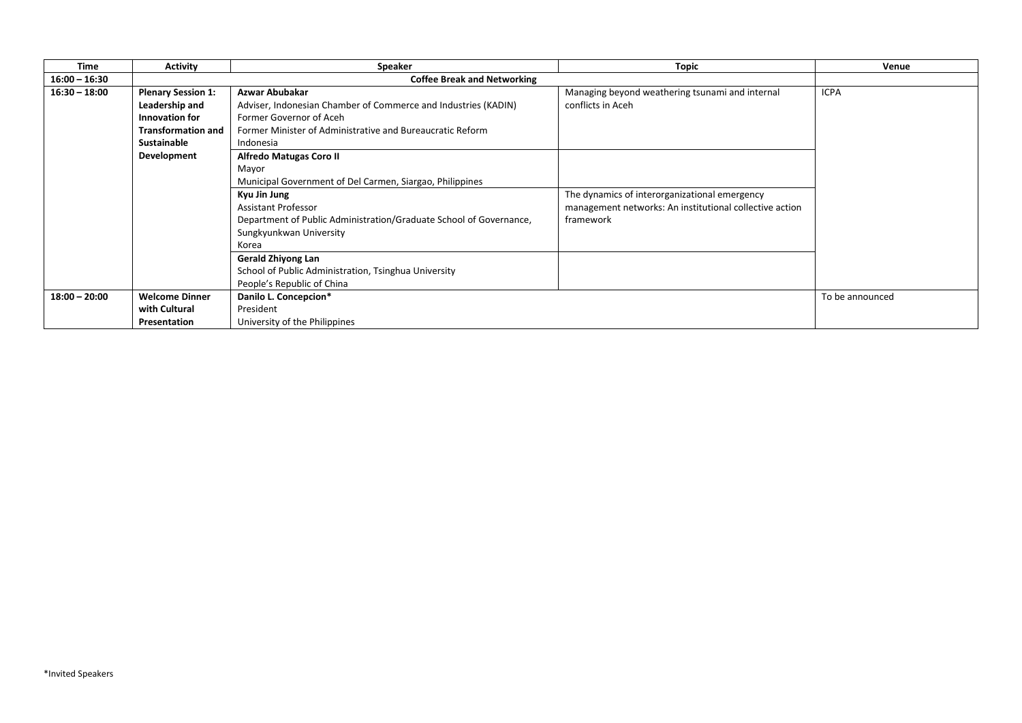| <b>Time</b>     | <b>Activity</b>                    | <b>Speaker</b>                                                                                                                                                                                                                                                          | <b>Topic</b>                                                                                                          | Venue           |
|-----------------|------------------------------------|-------------------------------------------------------------------------------------------------------------------------------------------------------------------------------------------------------------------------------------------------------------------------|-----------------------------------------------------------------------------------------------------------------------|-----------------|
| $16:00 - 16:30$ | <b>Coffee Break and Networking</b> |                                                                                                                                                                                                                                                                         |                                                                                                                       |                 |
| $16:30 - 18:00$ | <b>Plenary Session 1:</b>          | Azwar Abubakar                                                                                                                                                                                                                                                          | Managing beyond weathering tsunami and internal                                                                       | <b>ICPA</b>     |
|                 | Leadership and                     | Adviser, Indonesian Chamber of Commerce and Industries (KADIN)                                                                                                                                                                                                          | conflicts in Aceh                                                                                                     |                 |
|                 | Innovation for                     | Former Governor of Aceh                                                                                                                                                                                                                                                 |                                                                                                                       |                 |
|                 | <b>Transformation and</b>          | Former Minister of Administrative and Bureaucratic Reform                                                                                                                                                                                                               |                                                                                                                       |                 |
|                 | Sustainable                        | Indonesia                                                                                                                                                                                                                                                               |                                                                                                                       |                 |
|                 | Development                        | <b>Alfredo Matugas Coro II</b>                                                                                                                                                                                                                                          |                                                                                                                       |                 |
|                 |                                    | Mayor                                                                                                                                                                                                                                                                   |                                                                                                                       |                 |
|                 |                                    | Municipal Government of Del Carmen, Siargao, Philippines                                                                                                                                                                                                                |                                                                                                                       |                 |
|                 |                                    | Kyu Jin Jung<br><b>Assistant Professor</b><br>Department of Public Administration/Graduate School of Governance,<br>Sungkyunkwan University<br>Korea<br><b>Gerald Zhiyong Lan</b><br>School of Public Administration, Tsinghua University<br>People's Republic of China | The dynamics of interorganizational emergency<br>management networks: An institutional collective action<br>framework |                 |
| $18:00 - 20:00$ | <b>Welcome Dinner</b>              | Danilo L. Concepcion*                                                                                                                                                                                                                                                   |                                                                                                                       | To be announced |
|                 | with Cultural                      | President                                                                                                                                                                                                                                                               |                                                                                                                       |                 |
|                 | Presentation                       | University of the Philippines                                                                                                                                                                                                                                           |                                                                                                                       |                 |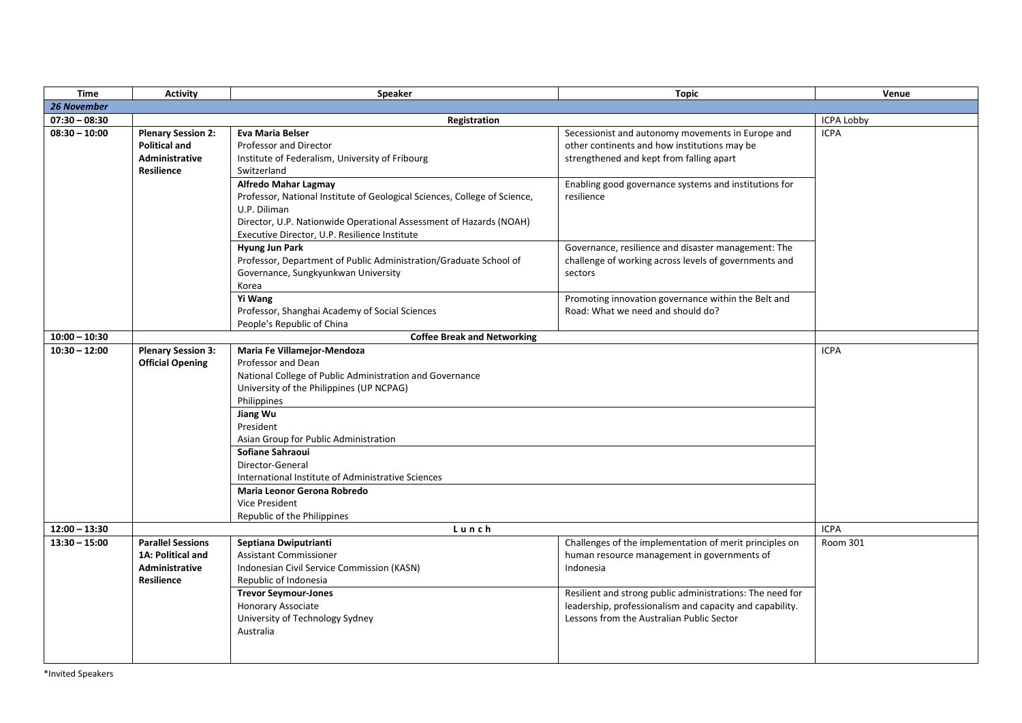| <b>Time</b>        | <b>Activity</b>                                                                          | Speaker                                                                                                                                                                                                                                                                                                                                                                                                                  | <b>Topic</b>                                                                                                                                                                                                                                                                              | Venue           |
|--------------------|------------------------------------------------------------------------------------------|--------------------------------------------------------------------------------------------------------------------------------------------------------------------------------------------------------------------------------------------------------------------------------------------------------------------------------------------------------------------------------------------------------------------------|-------------------------------------------------------------------------------------------------------------------------------------------------------------------------------------------------------------------------------------------------------------------------------------------|-----------------|
| <b>26 November</b> |                                                                                          |                                                                                                                                                                                                                                                                                                                                                                                                                          |                                                                                                                                                                                                                                                                                           |                 |
| $07:30 - 08:30$    |                                                                                          | Registration                                                                                                                                                                                                                                                                                                                                                                                                             | <b>ICPA Lobby</b>                                                                                                                                                                                                                                                                         |                 |
| $08:30 - 10:00$    | <b>Plenary Session 2:</b><br><b>Political and</b><br>Administrative<br><b>Resilience</b> | <b>Eva Maria Belser</b><br>Professor and Director<br>Institute of Federalism, University of Fribourg<br>Switzerland                                                                                                                                                                                                                                                                                                      | Secessionist and autonomy movements in Europe and<br>other continents and how institutions may be<br>strengthened and kept from falling apart                                                                                                                                             | <b>ICPA</b>     |
|                    |                                                                                          | <b>Alfredo Mahar Lagmay</b><br>Professor, National Institute of Geological Sciences, College of Science,<br>U.P. Diliman<br>Director, U.P. Nationwide Operational Assessment of Hazards (NOAH)<br>Executive Director, U.P. Resilience Institute                                                                                                                                                                          | Enabling good governance systems and institutions for<br>resilience                                                                                                                                                                                                                       |                 |
|                    |                                                                                          | Hyung Jun Park<br>Professor, Department of Public Administration/Graduate School of<br>Governance, Sungkyunkwan University<br>Korea                                                                                                                                                                                                                                                                                      | Governance, resilience and disaster management: The<br>challenge of working across levels of governments and<br>sectors                                                                                                                                                                   |                 |
|                    |                                                                                          | Yi Wang<br>Professor, Shanghai Academy of Social Sciences<br>People's Republic of China                                                                                                                                                                                                                                                                                                                                  | Promoting innovation governance within the Belt and<br>Road: What we need and should do?                                                                                                                                                                                                  |                 |
| $10:00 - 10:30$    |                                                                                          | <b>Coffee Break and Networking</b>                                                                                                                                                                                                                                                                                                                                                                                       |                                                                                                                                                                                                                                                                                           |                 |
| $10:30 - 12:00$    | <b>Plenary Session 3:</b><br><b>Official Opening</b>                                     | Maria Fe Villamejor-Mendoza<br>Professor and Dean<br>National College of Public Administration and Governance<br>University of the Philippines (UP NCPAG)<br>Philippines<br>Jiang Wu<br>President<br>Asian Group for Public Administration<br>Sofiane Sahraoui<br>Director-General<br>International Institute of Administrative Sciences<br>Maria Leonor Gerona Robredo<br>Vice President<br>Republic of the Philippines |                                                                                                                                                                                                                                                                                           | <b>ICPA</b>     |
| $12:00 - 13:30$    | Lunch                                                                                    |                                                                                                                                                                                                                                                                                                                                                                                                                          | <b>ICPA</b>                                                                                                                                                                                                                                                                               |                 |
| $13:30 - 15:00$    | <b>Parallel Sessions</b><br>1A: Political and<br>Administrative<br><b>Resilience</b>     | Septiana Dwiputrianti<br><b>Assistant Commissioner</b><br>Indonesian Civil Service Commission (KASN)<br>Republic of Indonesia<br><b>Trevor Seymour-Jones</b><br><b>Honorary Associate</b><br>University of Technology Sydney<br>Australia                                                                                                                                                                                | Challenges of the implementation of merit principles on<br>human resource management in governments of<br>Indonesia<br>Resilient and strong public administrations: The need for<br>leadership, professionalism and capacity and capability.<br>Lessons from the Australian Public Sector | <b>Room 301</b> |
|                    |                                                                                          |                                                                                                                                                                                                                                                                                                                                                                                                                          |                                                                                                                                                                                                                                                                                           |                 |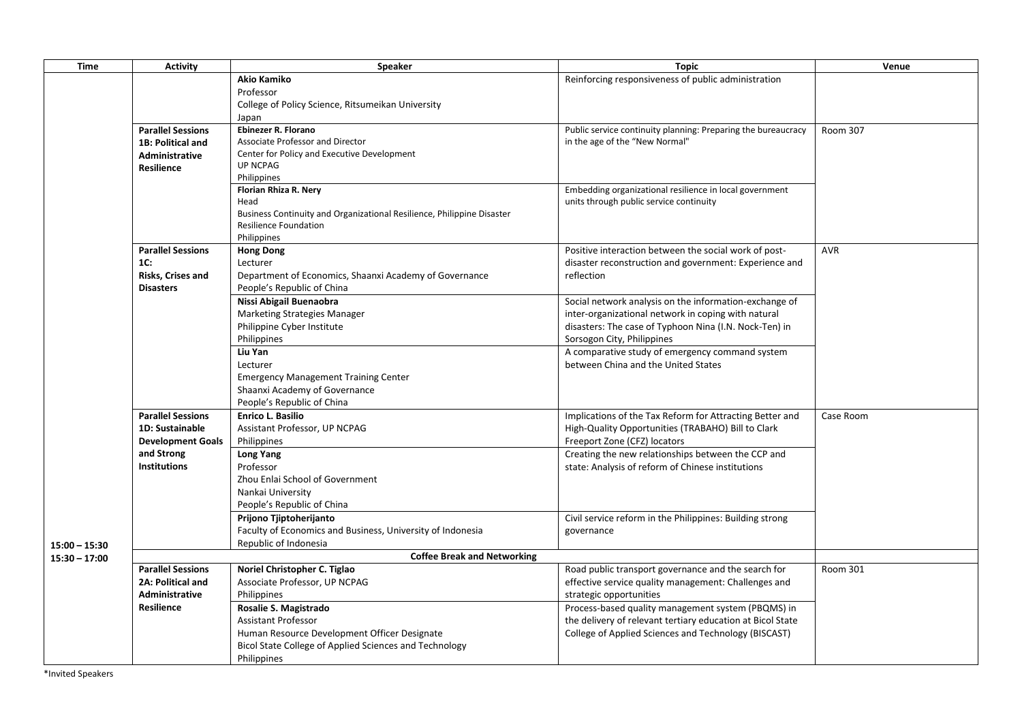| <b>Time</b>     | <b>Activity</b>                        | <b>Speaker</b>                                                         | <b>Topic</b>                                                                                            | Venue           |
|-----------------|----------------------------------------|------------------------------------------------------------------------|---------------------------------------------------------------------------------------------------------|-----------------|
|                 |                                        | <b>Akio Kamiko</b>                                                     | Reinforcing responsiveness of public administration                                                     |                 |
|                 |                                        | Professor                                                              |                                                                                                         |                 |
|                 |                                        | College of Policy Science, Ritsumeikan University                      |                                                                                                         |                 |
|                 |                                        | Japan                                                                  |                                                                                                         |                 |
|                 | <b>Parallel Sessions</b>               | Ebinezer R. Florano                                                    | Public service continuity planning: Preparing the bureaucracy                                           | <b>Room 307</b> |
|                 | 1B: Political and                      | Associate Professor and Director                                       | in the age of the "New Normal"                                                                          |                 |
|                 | Administrative                         | Center for Policy and Executive Development                            |                                                                                                         |                 |
|                 | <b>Resilience</b>                      | <b>UP NCPAG</b><br>Philippines                                         |                                                                                                         |                 |
|                 |                                        | Florian Rhiza R. Nery                                                  | Embedding organizational resilience in local government                                                 |                 |
|                 |                                        | Head                                                                   | units through public service continuity                                                                 |                 |
|                 |                                        | Business Continuity and Organizational Resilience, Philippine Disaster |                                                                                                         |                 |
|                 |                                        | <b>Resilience Foundation</b>                                           |                                                                                                         |                 |
|                 |                                        | Philippines                                                            |                                                                                                         |                 |
|                 | <b>Parallel Sessions</b>               | <b>Hong Dong</b>                                                       | Positive interaction between the social work of post-                                                   | <b>AVR</b>      |
|                 | 1C:                                    | Lecturer                                                               | disaster reconstruction and government: Experience and                                                  |                 |
|                 | Risks, Crises and                      | Department of Economics, Shaanxi Academy of Governance                 | reflection                                                                                              |                 |
|                 | <b>Disasters</b>                       | People's Republic of China                                             |                                                                                                         |                 |
|                 |                                        | Nissi Abigail Buenaobra                                                | Social network analysis on the information-exchange of                                                  |                 |
|                 |                                        | Marketing Strategies Manager                                           | inter-organizational network in coping with natural                                                     |                 |
|                 |                                        | Philippine Cyber Institute                                             | disasters: The case of Typhoon Nina (I.N. Nock-Ten) in                                                  |                 |
|                 |                                        | Philippines                                                            | Sorsogon City, Philippines                                                                              |                 |
|                 |                                        | Liu Yan                                                                | A comparative study of emergency command system                                                         |                 |
|                 |                                        | Lecturer                                                               | between China and the United States                                                                     |                 |
|                 |                                        | <b>Emergency Management Training Center</b>                            |                                                                                                         |                 |
|                 |                                        | Shaanxi Academy of Governance                                          |                                                                                                         |                 |
|                 |                                        | People's Republic of China                                             |                                                                                                         |                 |
|                 | <b>Parallel Sessions</b>               | <b>Enrico L. Basilio</b>                                               | Implications of the Tax Reform for Attracting Better and                                                | Case Room       |
|                 | 1D: Sustainable                        | Assistant Professor, UP NCPAG                                          | High-Quality Opportunities (TRABAHO) Bill to Clark                                                      |                 |
|                 | <b>Development Goals</b><br>and Strong | Philippines                                                            | Freeport Zone (CFZ) locators                                                                            |                 |
|                 | Institutions                           | <b>Long Yang</b><br>Professor                                          | Creating the new relationships between the CCP and<br>state: Analysis of reform of Chinese institutions |                 |
|                 |                                        | Zhou Enlai School of Government                                        |                                                                                                         |                 |
|                 |                                        | Nankai University                                                      |                                                                                                         |                 |
|                 |                                        | People's Republic of China                                             |                                                                                                         |                 |
|                 |                                        | Prijono Tjiptoherijanto                                                | Civil service reform in the Philippines: Building strong                                                |                 |
|                 |                                        | Faculty of Economics and Business, University of Indonesia             | governance                                                                                              |                 |
| $15:00 - 15:30$ |                                        | Republic of Indonesia                                                  |                                                                                                         |                 |
| $15:30 - 17:00$ |                                        | <b>Coffee Break and Networking</b>                                     |                                                                                                         |                 |
|                 | <b>Parallel Sessions</b>               | Noriel Christopher C. Tiglao                                           | Road public transport governance and the search for                                                     | <b>Room 301</b> |
|                 | 2A: Political and                      | Associate Professor, UP NCPAG                                          | effective service quality management: Challenges and                                                    |                 |
|                 | Administrative                         | Philippines                                                            | strategic opportunities                                                                                 |                 |
|                 | <b>Resilience</b>                      | Rosalie S. Magistrado                                                  | Process-based quality management system (PBQMS) in                                                      |                 |
|                 |                                        | <b>Assistant Professor</b>                                             | the delivery of relevant tertiary education at Bicol State                                              |                 |
|                 |                                        | Human Resource Development Officer Designate                           | College of Applied Sciences and Technology (BISCAST)                                                    |                 |
|                 |                                        | Bicol State College of Applied Sciences and Technology                 |                                                                                                         |                 |
|                 |                                        | Philippines                                                            |                                                                                                         |                 |
|                 |                                        |                                                                        |                                                                                                         |                 |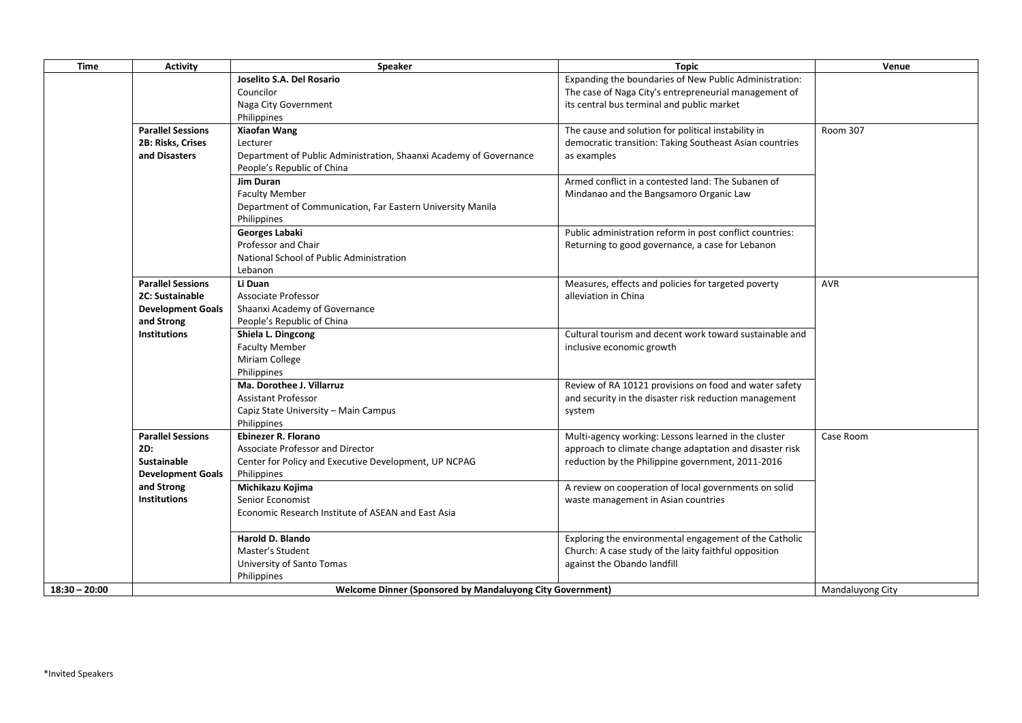| <b>Time</b>     | <b>Activity</b>          | Speaker                                                            | <b>Topic</b>                                             | Venue            |
|-----------------|--------------------------|--------------------------------------------------------------------|----------------------------------------------------------|------------------|
|                 |                          | Joselito S.A. Del Rosario                                          | Expanding the boundaries of New Public Administration:   |                  |
|                 |                          | Councilor                                                          | The case of Naga City's entrepreneurial management of    |                  |
|                 |                          | Naga City Government                                               | its central bus terminal and public market               |                  |
|                 |                          | Philippines                                                        |                                                          |                  |
|                 | <b>Parallel Sessions</b> | <b>Xiaofan Wang</b>                                                | The cause and solution for political instability in      | Room 307         |
|                 | 2B: Risks, Crises        | Lecturer                                                           | democratic transition: Taking Southeast Asian countries  |                  |
|                 | and Disasters            | Department of Public Administration, Shaanxi Academy of Governance | as examples                                              |                  |
|                 |                          | People's Republic of China                                         |                                                          |                  |
|                 |                          | <b>Jim Duran</b>                                                   | Armed conflict in a contested land: The Subanen of       |                  |
|                 |                          | <b>Faculty Member</b>                                              | Mindanao and the Bangsamoro Organic Law                  |                  |
|                 |                          | Department of Communication, Far Eastern University Manila         |                                                          |                  |
|                 |                          | Philippines                                                        |                                                          |                  |
|                 |                          | Georges Labaki                                                     | Public administration reform in post conflict countries: |                  |
|                 |                          | Professor and Chair                                                | Returning to good governance, a case for Lebanon         |                  |
|                 |                          | National School of Public Administration                           |                                                          |                  |
|                 |                          | Lebanon                                                            |                                                          |                  |
|                 | <b>Parallel Sessions</b> | Li Duan                                                            | Measures, effects and policies for targeted poverty      | <b>AVR</b>       |
|                 | 2C: Sustainable          | Associate Professor                                                | alleviation in China                                     |                  |
|                 | <b>Development Goals</b> | Shaanxi Academy of Governance                                      |                                                          |                  |
|                 | and Strong               | People's Republic of China                                         |                                                          |                  |
|                 | <b>Institutions</b>      | Shiela L. Dingcong                                                 | Cultural tourism and decent work toward sustainable and  |                  |
|                 |                          | <b>Faculty Member</b>                                              | inclusive economic growth                                |                  |
|                 |                          | Miriam College                                                     |                                                          |                  |
|                 |                          | Philippines                                                        |                                                          |                  |
|                 |                          | Ma. Dorothee J. Villarruz                                          | Review of RA 10121 provisions on food and water safety   |                  |
|                 |                          | <b>Assistant Professor</b>                                         | and security in the disaster risk reduction management   |                  |
|                 |                          | Capiz State University - Main Campus                               | system                                                   |                  |
|                 |                          | Philippines                                                        |                                                          |                  |
|                 | <b>Parallel Sessions</b> | <b>Ebinezer R. Florano</b>                                         | Multi-agency working: Lessons learned in the cluster     | Case Room        |
|                 | 2D:                      | Associate Professor and Director                                   | approach to climate change adaptation and disaster risk  |                  |
|                 | <b>Sustainable</b>       | Center for Policy and Executive Development, UP NCPAG              | reduction by the Philippine government, 2011-2016        |                  |
|                 | <b>Development Goals</b> | Philippines                                                        |                                                          |                  |
|                 | and Strong               | Michikazu Kojima                                                   | A review on cooperation of local governments on solid    |                  |
|                 | <b>Institutions</b>      | Senior Economist                                                   | waste management in Asian countries                      |                  |
|                 |                          | Economic Research Institute of ASEAN and East Asia                 |                                                          |                  |
|                 |                          |                                                                    |                                                          |                  |
|                 |                          | Harold D. Blando                                                   | Exploring the environmental engagement of the Catholic   |                  |
|                 |                          | Master's Student                                                   | Church: A case study of the laity faithful opposition    |                  |
|                 |                          | University of Santo Tomas                                          | against the Obando landfill                              |                  |
|                 |                          | Philippines                                                        |                                                          |                  |
| $18:30 - 20:00$ |                          | <b>Welcome Dinner (Sponsored by Mandaluyong City Government)</b>   |                                                          | Mandaluyong City |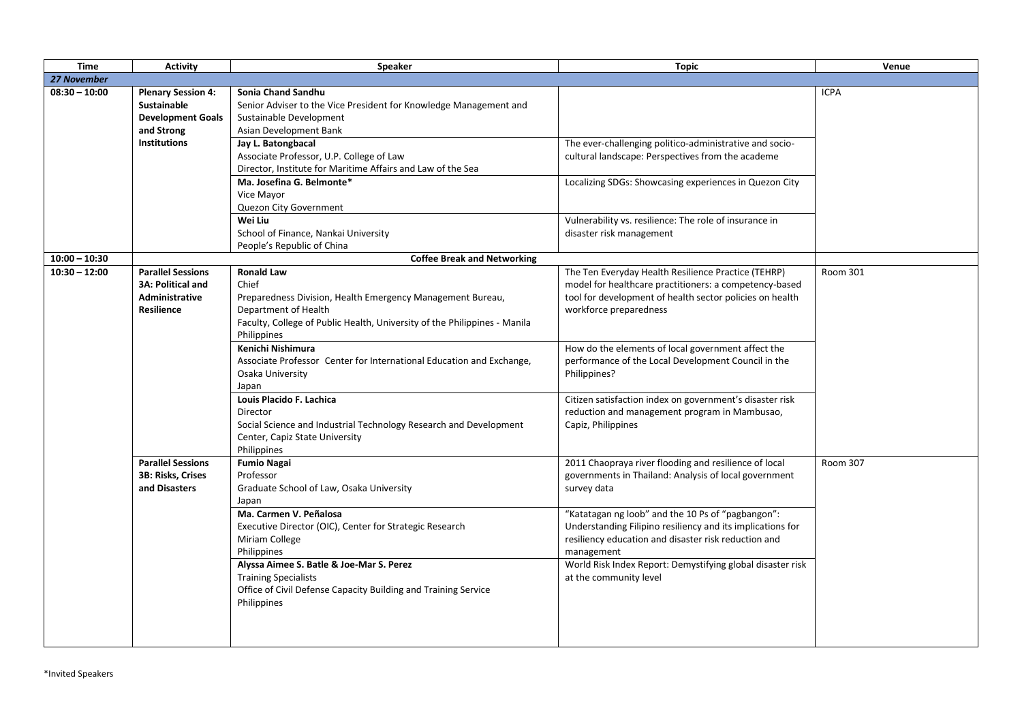| <b>Time</b>     | <b>Activity</b>                                                                             | Speaker                                                                                                                                                                                                      | <b>Topic</b>                                                                                                                                                                                        | Venue       |
|-----------------|---------------------------------------------------------------------------------------------|--------------------------------------------------------------------------------------------------------------------------------------------------------------------------------------------------------------|-----------------------------------------------------------------------------------------------------------------------------------------------------------------------------------------------------|-------------|
| 27 November     |                                                                                             |                                                                                                                                                                                                              |                                                                                                                                                                                                     |             |
| $08:30 - 10:00$ | <b>Plenary Session 4:</b><br><b>Sustainable</b><br><b>Development Goals</b><br>and Strong   | Sonia Chand Sandhu<br>Senior Adviser to the Vice President for Knowledge Management and<br>Sustainable Development<br>Asian Development Bank                                                                 |                                                                                                                                                                                                     | <b>ICPA</b> |
|                 | <b>Institutions</b>                                                                         | Jay L. Batongbacal<br>Associate Professor, U.P. College of Law<br>Director, Institute for Maritime Affairs and Law of the Sea                                                                                | The ever-challenging politico-administrative and socio-<br>cultural landscape: Perspectives from the academe                                                                                        |             |
|                 |                                                                                             | Ma. Josefina G. Belmonte*<br>Vice Mayor<br>Quezon City Government<br>Wei Liu<br>School of Finance, Nankai University                                                                                         | Localizing SDGs: Showcasing experiences in Quezon City<br>Vulnerability vs. resilience: The role of insurance in<br>disaster risk management                                                        |             |
|                 |                                                                                             | People's Republic of China                                                                                                                                                                                   |                                                                                                                                                                                                     |             |
| $10:00 - 10:30$ |                                                                                             | <b>Coffee Break and Networking</b>                                                                                                                                                                           |                                                                                                                                                                                                     |             |
| $10:30 - 12:00$ | <b>Parallel Sessions</b><br><b>3A: Political and</b><br>Administrative<br><b>Resilience</b> | <b>Ronald Law</b><br>Chief<br>Preparedness Division, Health Emergency Management Bureau,<br>Department of Health<br>Faculty, College of Public Health, University of the Philippines - Manila<br>Philippines | The Ten Everyday Health Resilience Practice (TEHRP)<br>model for healthcare practitioners: a competency-based<br>tool for development of health sector policies on health<br>workforce preparedness | Room 301    |
|                 |                                                                                             | Kenichi Nishimura<br>Associate Professor Center for International Education and Exchange,<br>Osaka University<br>Japan                                                                                       | How do the elements of local government affect the<br>performance of the Local Development Council in the<br>Philippines?                                                                           |             |
|                 |                                                                                             | Louis Placido F. Lachica<br>Director<br>Social Science and Industrial Technology Research and Development<br>Center, Capiz State University<br>Philippines                                                   | Citizen satisfaction index on government's disaster risk<br>reduction and management program in Mambusao,<br>Capiz, Philippines                                                                     |             |
|                 | <b>Parallel Sessions</b><br>3B: Risks, Crises<br>and Disasters                              | <b>Fumio Nagai</b><br>Professor<br>Graduate School of Law, Osaka University<br>Japan                                                                                                                         | 2011 Chaopraya river flooding and resilience of local<br>governments in Thailand: Analysis of local government<br>survey data                                                                       | Room 307    |
|                 |                                                                                             | Ma. Carmen V. Peñalosa<br>Executive Director (OIC), Center for Strategic Research<br>Miriam College<br>Philippines                                                                                           | "Katatagan ng loob" and the 10 Ps of "pagbangon":<br>Understanding Filipino resiliency and its implications for<br>resiliency education and disaster risk reduction and<br>management               |             |
|                 |                                                                                             | Alyssa Aimee S. Batle & Joe-Mar S. Perez<br><b>Training Specialists</b><br>Office of Civil Defense Capacity Building and Training Service<br>Philippines                                                     | World Risk Index Report: Demystifying global disaster risk<br>at the community level                                                                                                                |             |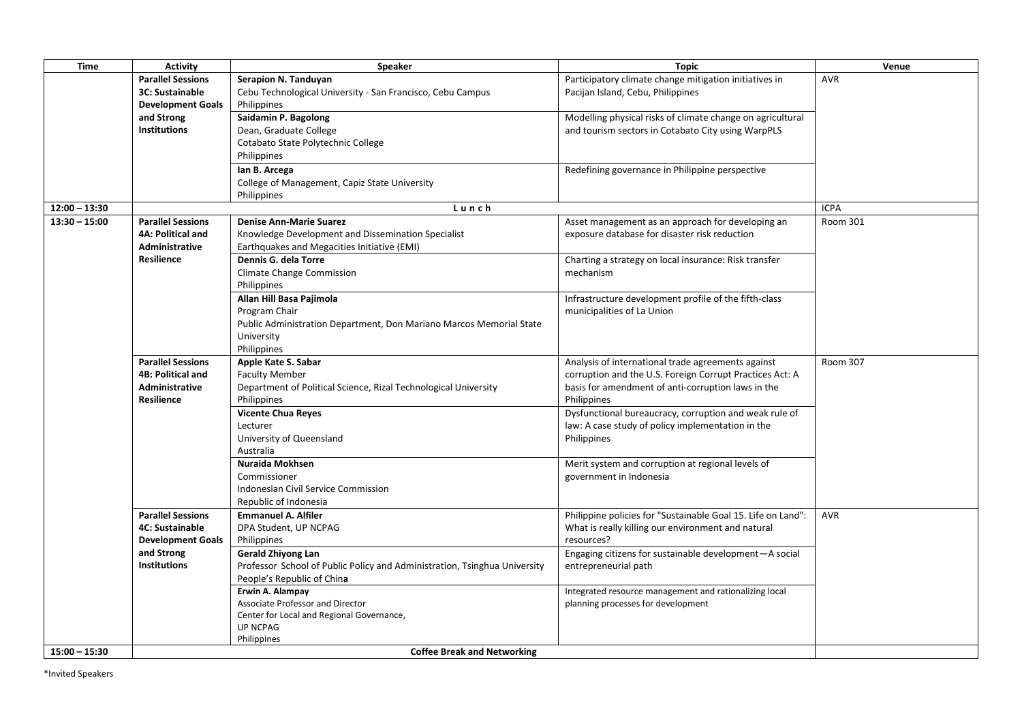| <b>Time</b>     | <b>Activity</b>          | <b>Speaker</b>                                                            | <b>Topic</b>                                                 | Venue           |
|-----------------|--------------------------|---------------------------------------------------------------------------|--------------------------------------------------------------|-----------------|
|                 | <b>Parallel Sessions</b> | Serapion N. Tanduyan                                                      | Participatory climate change mitigation initiatives in       | <b>AVR</b>      |
|                 | <b>3C: Sustainable</b>   | Cebu Technological University - San Francisco, Cebu Campus                | Pacijan Island, Cebu, Philippines                            |                 |
|                 | <b>Development Goals</b> | Philippines                                                               |                                                              |                 |
|                 | and Strong               | Saidamin P. Bagolong                                                      | Modelling physical risks of climate change on agricultural   |                 |
|                 | <b>Institutions</b>      | Dean, Graduate College                                                    | and tourism sectors in Cotabato City using WarpPLS           |                 |
|                 |                          | Cotabato State Polytechnic College                                        |                                                              |                 |
|                 |                          | Philippines                                                               |                                                              |                 |
|                 |                          | lan B. Arcega                                                             | Redefining governance in Philippine perspective              |                 |
|                 |                          | College of Management, Capiz State University                             |                                                              |                 |
|                 |                          | Philippines                                                               |                                                              |                 |
| $12:00 - 13:30$ |                          | Lunch                                                                     |                                                              | <b>ICPA</b>     |
| $13:30 - 15:00$ | <b>Parallel Sessions</b> | <b>Denise Ann-Marie Suarez</b>                                            | Asset management as an approach for developing an            | Room 301        |
|                 | <b>4A: Political and</b> | Knowledge Development and Dissemination Specialist                        | exposure database for disaster risk reduction                |                 |
|                 | Administrative           | Earthquakes and Megacities Initiative (EMI)                               |                                                              |                 |
|                 | Resilience               | Dennis G. dela Torre                                                      | Charting a strategy on local insurance: Risk transfer        |                 |
|                 |                          | Climate Change Commission                                                 | mechanism                                                    |                 |
|                 |                          | Philippines                                                               |                                                              |                 |
|                 |                          | Allan Hill Basa Pajimola                                                  | Infrastructure development profile of the fifth-class        |                 |
|                 |                          | Program Chair                                                             | municipalities of La Union                                   |                 |
|                 |                          | Public Administration Department, Don Mariano Marcos Memorial State       |                                                              |                 |
|                 |                          | University                                                                |                                                              |                 |
|                 |                          | Philippines                                                               |                                                              |                 |
|                 | <b>Parallel Sessions</b> | Apple Kate S. Sabar                                                       | Analysis of international trade agreements against           | <b>Room 307</b> |
|                 | <b>4B: Political and</b> | <b>Faculty Member</b>                                                     | corruption and the U.S. Foreign Corrupt Practices Act: A     |                 |
|                 | <b>Administrative</b>    | Department of Political Science, Rizal Technological University           | basis for amendment of anti-corruption laws in the           |                 |
|                 | <b>Resilience</b>        | Philippines                                                               | Philippines                                                  |                 |
|                 |                          | <b>Vicente Chua Reyes</b>                                                 | Dysfunctional bureaucracy, corruption and weak rule of       |                 |
|                 |                          | Lecturer                                                                  | law: A case study of policy implementation in the            |                 |
|                 |                          | University of Queensland                                                  | Philippines                                                  |                 |
|                 |                          | Australia                                                                 |                                                              |                 |
|                 |                          | Nuraida Mokhsen                                                           | Merit system and corruption at regional levels of            |                 |
|                 |                          | Commissioner                                                              | government in Indonesia                                      |                 |
|                 |                          | Indonesian Civil Service Commission                                       |                                                              |                 |
|                 |                          | Republic of Indonesia                                                     |                                                              |                 |
|                 | <b>Parallel Sessions</b> | <b>Emmanuel A. Alfiler</b>                                                | Philippine policies for "Sustainable Goal 15. Life on Land": | <b>AVR</b>      |
|                 | <b>4C: Sustainable</b>   | DPA Student, UP NCPAG                                                     | What is really killing our environment and natural           |                 |
|                 | <b>Development Goals</b> | Philippines                                                               | resources?                                                   |                 |
|                 | and Strong               | <b>Gerald Zhiyong Lan</b>                                                 | Engaging citizens for sustainable development-A social       |                 |
|                 | <b>Institutions</b>      | Professor School of Public Policy and Administration, Tsinghua University | entrepreneurial path                                         |                 |
|                 |                          | People's Republic of China                                                |                                                              |                 |
|                 |                          | Erwin A. Alampay                                                          | Integrated resource management and rationalizing local       |                 |
|                 |                          | Associate Professor and Director                                          | planning processes for development                           |                 |
|                 |                          | Center for Local and Regional Governance,                                 |                                                              |                 |
|                 |                          | <b>UP NCPAG</b>                                                           |                                                              |                 |
|                 |                          | Philippines                                                               |                                                              |                 |
| $15:00 - 15:30$ |                          | <b>Coffee Break and Networking</b>                                        |                                                              |                 |